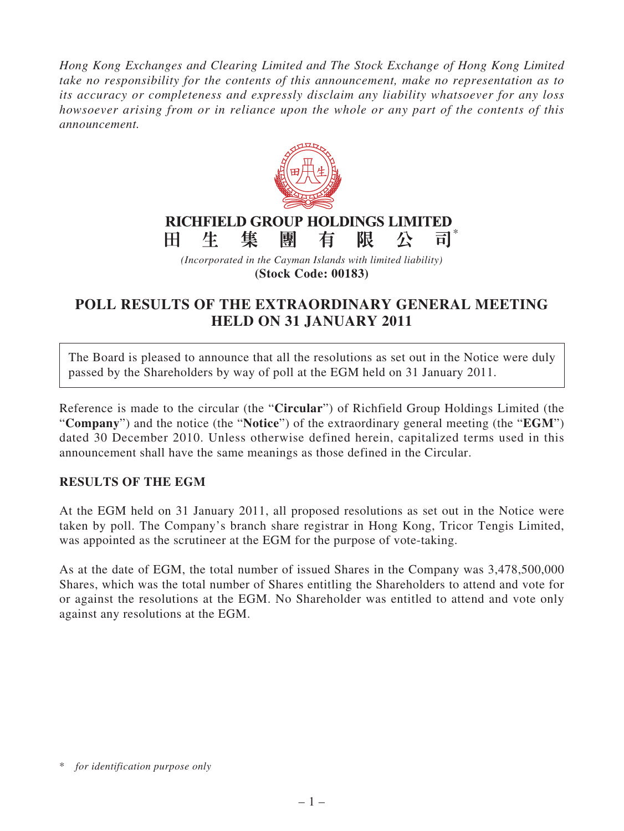*Hong Kong Exchanges and Clearing Limited and The Stock Exchange of Hong Kong Limited take no responsibility for the contents of this announcement, make no representation as to its accuracy or completeness and expressly disclaim any liability whatsoever for any loss howsoever arising from or in reliance upon the whole or any part of the contents of this announcement.*



*(Incorporated in the Cayman Islands with limited liability)* **(Stock Code: 00183)**

## **POLL RESULTS OF THE EXTRAORDINARY GENERAL MEETING HELD ON 31 JANUARY 2011**

The Board is pleased to announce that all the resolutions as set out in the Notice were duly passed by the Shareholders by way of poll at the EGM held on 31 January 2011.

Reference is made to the circular (the "**Circular**") of Richfield Group Holdings Limited (the "**Company**") and the notice (the "**Notice**") of the extraordinary general meeting (the "**EGM**") dated 30 December 2010. Unless otherwise defined herein, capitalized terms used in this announcement shall have the same meanings as those defined in the Circular.

## **RESULTS OF THE EGM**

At the EGM held on 31 January 2011, all proposed resolutions as set out in the Notice were taken by poll. The Company's branch share registrar in Hong Kong, Tricor Tengis Limited, was appointed as the scrutineer at the EGM for the purpose of vote-taking.

As at the date of EGM, the total number of issued Shares in the Company was 3,478,500,000 Shares, which was the total number of Shares entitling the Shareholders to attend and vote for or against the resolutions at the EGM. No Shareholder was entitled to attend and vote only against any resolutions at the EGM.

<sup>\*</sup> *for identification purpose only*